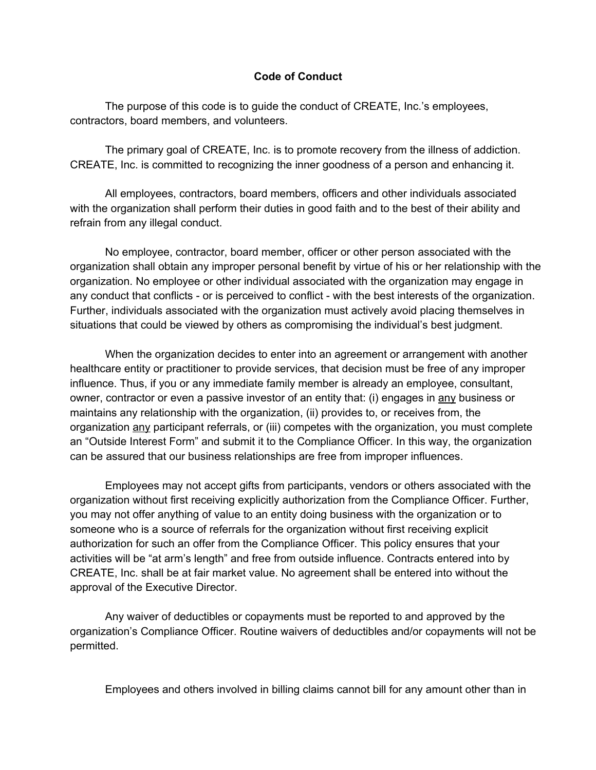## **Code of Conduct**

The purpose of this code is to guide the conduct of CREATE, Inc.'s employees, contractors, board members, and volunteers.

The primary goal of CREATE, Inc. is to promote recovery from the illness of addiction. CREATE, Inc. is committed to recognizing the inner goodness of a person and enhancing it.

All employees, contractors, board members, officers and other individuals associated with the organization shall perform their duties in good faith and to the best of their ability and refrain from any illegal conduct.

No employee, contractor, board member, officer or other person associated with the organization shall obtain any improper personal benefit by virtue of his or her relationship with the organization. No employee or other individual associated with the organization may engage in any conduct that conflicts - or is perceived to conflict - with the best interests of the organization. Further, individuals associated with the organization must actively avoid placing themselves in situations that could be viewed by others as compromising the individual's best judgment.

When the organization decides to enter into an agreement or arrangement with another healthcare entity or practitioner to provide services, that decision must be free of any improper influence. Thus, if you or any immediate family member is already an employee, consultant, owner, contractor or even a passive investor of an entity that: (i) engages in any business or maintains any relationship with the organization, (ii) provides to, or receives from, the organization any participant referrals, or (iii) competes with the organization, you must complete an "Outside Interest Form" and submit it to the Compliance Officer. In this way, the organization can be assured that our business relationships are free from improper influences.

Employees may not accept gifts from participants, vendors or others associated with the organization without first receiving explicitly authorization from the Compliance Officer. Further, you may not offer anything of value to an entity doing business with the organization or to someone who is a source of referrals for the organization without first receiving explicit authorization for such an offer from the Compliance Officer. This policy ensures that your activities will be "at arm's length" and free from outside influence. Contracts entered into by CREATE, Inc. shall be at fair market value. No agreement shall be entered into without the approval of the Executive Director.

Any waiver of deductibles or copayments must be reported to and approved by the organization's Compliance Officer. Routine waivers of deductibles and/or copayments will not be permitted.

Employees and others involved in billing claims cannot bill for any amount other than in